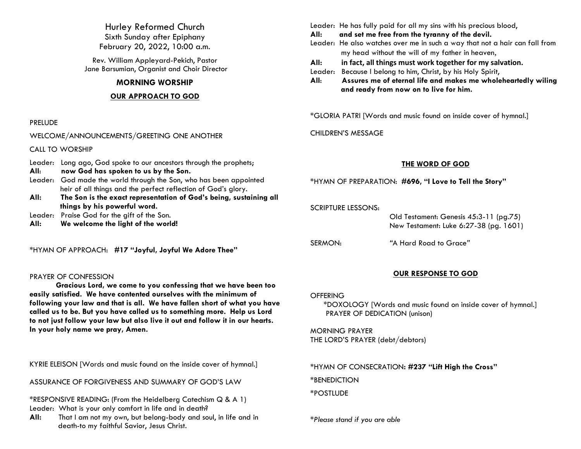Hurley Reformed Church Sixth Sunday after Epiphany February 20, 2022, 10:00 a.m.

Rev. William Appleyard-Pekich, Pastor Jane Barsumian, Organist and Choir Director

# **MORNING WORSHIP**

# **OUR APPROACH TO GOD**

## PRELUDE

WELCOME/ANNOUNCEMENTS/GREETING ONE ANOTHER

CALL TO WORSHIP

Leader: Long ago, God spoke to our ancestors through the prophets;

- **All**: **now God has spoken to us by the Son.**
- Leader: God made the world through the Son, who has been appointed heir of all things and the perfect reflection of God's glory.
- **All: The Son is the exact representation of God's being, sustaining all things by his powerful word.**
- Leader: Praise God for the gift of the Son.
- **All: We welcome the light of the world!**

\*HYMN OF APPROACH: **#17 "Joyful, Joyful We Adore Thee"**

# PRAYER OF CONFESSION

**Gracious Lord, we come to you confessing that we have been too easily satisfied. We have contented ourselves with the minimum of following your law and that is all. We have fallen short of what you have called us to be. But you have called us to something more. Help us Lord to not just follow your law but also live it out and follow it in our hearts. In your holy name we pray, Amen.** 

KYRIE ELEISON [Words and music found on the inside cover of hymnal.]

ASSURANCE OF FORGIVENESS AND SUMMARY OF GOD'S LAW

\*RESPONSIVE READING: (From the Heidelberg Catechism Q & A 1) Leader: What is your only comfort in life and in death?

**All:** That I am not my own, but belong-body and soul, in life and in death-to my faithful Savior, Jesus Christ.

Leader: He has fully paid for all my sins with his precious blood,

**All: and set me free from the tyranny of the devil.**

- Leader: He also watches over me in such a way that not a hair can fall from my head without the will of my father in heaven,
- **All: in fact, all things must work together for my salvation.**
- Leader: Because I belong to him, Christ, by his Holy Spirit,

**All**: **Assures me of eternal life and makes me wholeheartedly wiling and ready from now on to live for him.**

\*GLORIA PATRI [Words and music found on inside cover of hymnal.]

CHILDREN'S MESSAGE

# **THE WORD OF GOD**

\*HYMN OF PREPARATION: **#696, "I Love to Tell the Story"**

SCRIPTURE LESSONS: Old Testament: Genesis 45:3-11 (pg.75) New Testament: Luke 6:27-38 (pg. 1601) SERMON: *"*A Hard Road to Grace*"*

# **OUR RESPONSE TO GOD**

# **OFFERING**

\*DOXOLOGY [Words and music found on inside cover of hymnal.] PRAYER OF DEDICATION (unison)

MORNING PRAYER THE LORD'S PRAYER (debt/debtors)

\*HYMN OF CONSECRATION**: #237 "Lift High the Cross"**

\*BENEDICTION

\*POSTLUDE

*\*Please stand if you are able*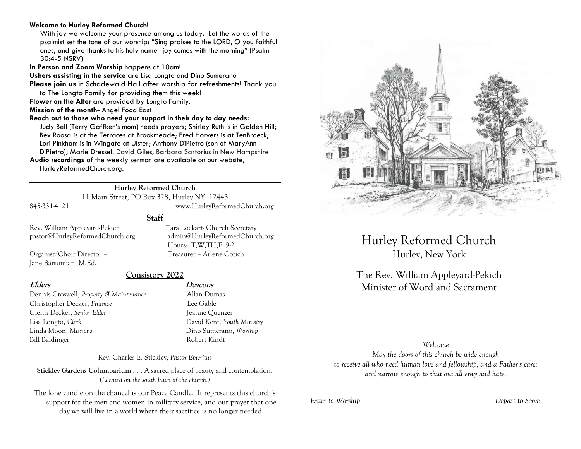## **Welcome to Hurley Reformed Church!**

With joy we welcome your presence among us today. Let the words of the psalmist set the tone of our worship: "Sing praises to the LORD, O you faithful ones, and give thanks to his holy name--joy comes with the morning" (Psalm 30:4-5 NSRV)

**In Person and Zoom Worship** happens at 10am!

**Ushers assisting in the service** are Lisa Longto and Dino Sumerano

**Please join us** in Schadewald Hall after worship for refreshments! Thank you to The Longto Family for providing them this week!

**Flower on the Alter** are provided by Longto Family.

**Mission of the month-** Angel Food East

#### **Reach out to those who need your support in their day to day needs:**

Judy Bell (Terry Gaffken's mom) needs prayers; Shirley Ruth is in Golden Hill; Bev Roosa is at the Terraces at Brookmeade; Fred Horvers is at TenBroeck; Lori Pinkham is in Wingate at Ulster; Anthony DiPietro (son of MaryAnn DiPietro); Marie Dressel. David Giles, Barbara Sartorius in New Hampshire

**Audio recordings** of the weekly sermon are available on our website, HurleyReformedChurch.org.

# **Hurley Reformed Church**

11 Main Street, PO Box 328, Hurley NY 12443 845-331-4121 www.HurleyReformedChurch.org

# **Staff**

Rev. William Appleyard-Pekich Tara Lockart- Church Secretary pastor@HurleyReformedChurch.org admin@HurleyReformedChurch.org

Organist/Choir Director – Treasurer – Arlene Cotich Jane Barsumian, M.Ed.

# **Consistory 2022**

Dennis Croswell, *Property & Maintenance* Allan Dumas Christopher Decker, *Finance* Lee Gable Glenn Decker, *Senior Elder* Jeanne Ouenzer Lisa Longto, *Clerk* David Kent, *Youth Ministry* Linda Moon, *Missions* Dino Sumerano, *Worship* Bill Baldinger Robert Kindt

**Elders Deacons**

Hours: T,W,TH,F, 9-2

Rev. Charles E. Stickley, *Pastor Emeritus*

**Stickley Gardens Columbarium . . .** A sacred place of beauty and contemplation. (*Located on the south lawn of the church.)* 

The lone candle on the chancel is our Peace Candle. It represents this church's support for the men and women in military service, and our prayer that one day we will live in a world where their sacrifice is no longer needed.



Hurley Reformed Church Hurley, New York

The Rev. William Appleyard-Pekich Minister of Word and Sacrament

#### *Welcome*

*May the doors of this church be wide enough to receive all who need human love and fellowship, and a Father's care; and narrow enough to shut out all envy and hate.*

*Enter to Worship Depart to Serve*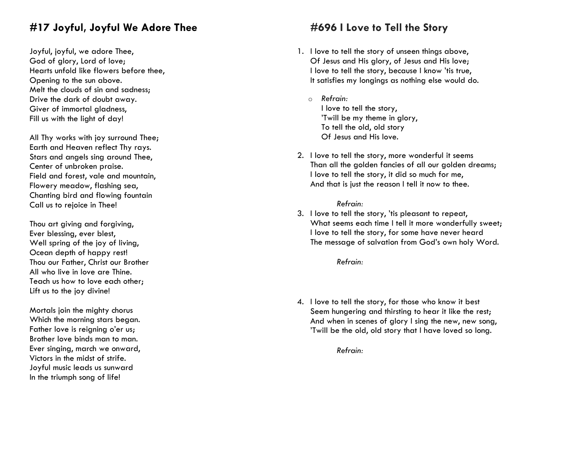# **#17 Joyful, Joyful We Adore Thee**

Joyful, joyful, we adore Thee, God of glory, Lord of love; Hearts unfold like flowers before thee, Opening to the sun above. Melt the clouds of sin and sadness; Drive the dark of doubt away. Giver of immortal gladness, Fill us with the light of day!

All Thy works with joy surround Thee; Earth and Heaven reflect Thy rays. Stars and angels sing around Thee, Center of unbroken praise. Field and forest, vale and mountain, Flowery meadow, flashing sea, Chanting bird and flowing fountain Call us to rejoice in Thee!

Thou art giving and forgiving, Ever blessing, ever blest, Well spring of the joy of living, Ocean depth of happy rest! Thou our Father, Christ our Brother All who live in love are Thine. Teach us how to love each other; Lift us to the joy divine!

Mortals join the mighty chorus Which the morning stars began. Father love is reigning o'er us: Brother love binds man to man. Ever singing, march we onward, Victors in the midst of strife. Joyful music leads us sunward In the triumph song of life!

# **#696 I Love to Tell the Story**

- 1. I love to tell the story of unseen things above, Of Jesus and His glory, of Jesus and His love; I love to tell the story, because I know 'tis true, It satisfies my longings as nothing else would do.
	- o *Refrain:* I love to tell the story, 'Twill be my theme in glory, To tell the old, old story Of Jesus and His love.
- 2. I love to tell the story, more wonderful it seems Than all the golden fancies of all our golden dreams; I love to tell the story, it did so much for me, And that is just the reason I tell it now to thee.

# *Refrain:*

3. I love to tell the story, 'tis pleasant to repeat, What seems each time I tell it more wonderfully sweet; I love to tell the story, for some have never heard The message of salvation from God's own holy Word.

*Refrain:*

4. I love to tell the story, for those who know it best Seem hungering and thirsting to hear it like the rest; And when in scenes of glory I sing the new, new song, 'Twill be the old, old story that I have loved so long.

*Refrain:*